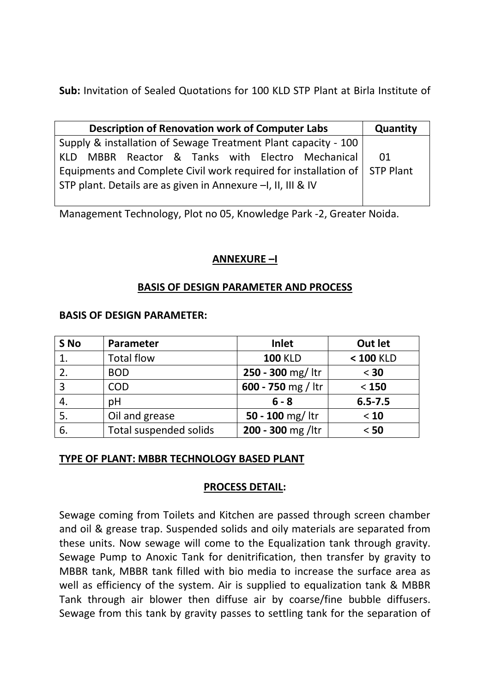**Sub:** Invitation of Sealed Quotations for 100 KLD STP Plant at Birla Institute of

| <b>Description of Renovation work of Computer Labs</b>                    | Quantity |  |  |  |  |
|---------------------------------------------------------------------------|----------|--|--|--|--|
| Supply & installation of Sewage Treatment Plant capacity - 100            |          |  |  |  |  |
| KLD MBBR Reactor & Tanks with Electro Mechanical                          |          |  |  |  |  |
| Equipments and Complete Civil work required for installation of STP Plant |          |  |  |  |  |
| STP plant. Details are as given in Annexure -I, II, III & IV              |          |  |  |  |  |

Management Technology, Plot no 05, Knowledge Park -2, Greater Noida.

## **ANNEXURE –I**

## **BASIS OF DESIGN PARAMETER AND PROCESS**

### **BASIS OF DESIGN PARAMETER:**

| S No | Parameter                     | <b>Inlet</b>               | Out let     |
|------|-------------------------------|----------------------------|-------------|
| 1.   | <b>Total flow</b>             | <b>100 KLD</b>             | $< 100$ KLD |
| 2.   | <b>BOD</b>                    | 250 - 300 mg/ ltr          | $<$ 30      |
| 3    | <b>COD</b>                    | 600 - 750 mg / ltr         | $< 150$     |
|      | pH                            | $6 - 8$                    | $6.5 - 7.5$ |
| 5.   | Oil and grease                | 50 - 100 mg/ $\frac{1}{1}$ | < 10        |
| 6.   | <b>Total suspended solids</b> | 200 - 300 mg /ltr          | $< 50$      |

## **TYPE OF PLANT: MBBR TECHNOLOGY BASED PLANT**

## **PROCESS DETAIL:**

Sewage coming from Toilets and Kitchen are passed through screen chamber and oil & grease trap. Suspended solids and oily materials are separated from these units. Now sewage will come to the Equalization tank through gravity. Sewage Pump to Anoxic Tank for denitrification, then transfer by gravity to MBBR tank, MBBR tank filled with bio media to increase the surface area as well as efficiency of the system. Air is supplied to equalization tank & MBBR Tank through air blower then diffuse air by coarse/fine bubble diffusers. Sewage from this tank by gravity passes to settling tank for the separation of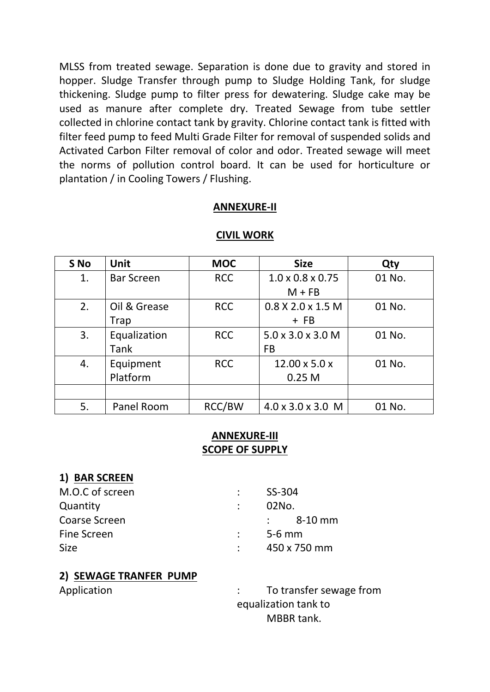MLSS from treated sewage. Separation is done due to gravity and stored in hopper. Sludge Transfer through pump to Sludge Holding Tank, for sludge thickening. Sludge pump to filter press for dewatering. Sludge cake may be used as manure after complete dry. Treated Sewage from tube settler collected in chlorine contact tank by gravity. Chlorine contact tank is fitted with filter feed pump to feed Multi Grade Filter for removal of suspended solids and Activated Carbon Filter removal of color and odor. Treated sewage will meet the norms of pollution control board. It can be used for horticulture or plantation / in Cooling Towers / Flushing.

#### **ANNEXURE-II**

| S No | <b>Unit</b>       | <b>MOC</b> | <b>Size</b>                   | Qty    |
|------|-------------------|------------|-------------------------------|--------|
| 1.   | <b>Bar Screen</b> | <b>RCC</b> | $1.0 \times 0.8 \times 0.75$  | 01 No. |
|      |                   |            | $M + FB$                      |        |
| 2.   | Oil & Grease      | <b>RCC</b> | $0.8$ X 2.0 x 1.5 M           | 01 No. |
|      | Trap              |            | $+$ FB                        |        |
| 3.   | Equalization      | <b>RCC</b> | $5.0 \times 3.0 \times 3.0$ M | 01 No. |
|      | <b>Tank</b>       |            | <b>FB</b>                     |        |
| 4.   | Equipment         | <b>RCC</b> | $12.00 \times 5.0 \times$     | 01 No. |
|      | Platform          |            | 0.25 <sub>M</sub>             |        |
|      |                   |            |                               |        |
| 5.   | Panel Room        | RCC/BW     | $4.0 \times 3.0 \times 3.0$ M | 01 No. |

#### **CIVIL WORK**

## **ANNEXURE-III SCOPE OF SUPPLY**

## **1) BAR SCREEN**

| M.O.C of screen      | SS-304               |
|----------------------|----------------------|
| Quantity             | .02No.               |
| <b>Coarse Screen</b> | $\therefore$ 8-10 mm |
| Fine Screen          | $\frac{1}{2}$ 5-6 mm |
| <b>Size</b>          | 450 x 750 mm         |

#### **2) SEWAGE TRANFER PUMP**

Application  $\qquad \qquad : \qquad$  To transfer sewage from equalization tank to MBBR tank.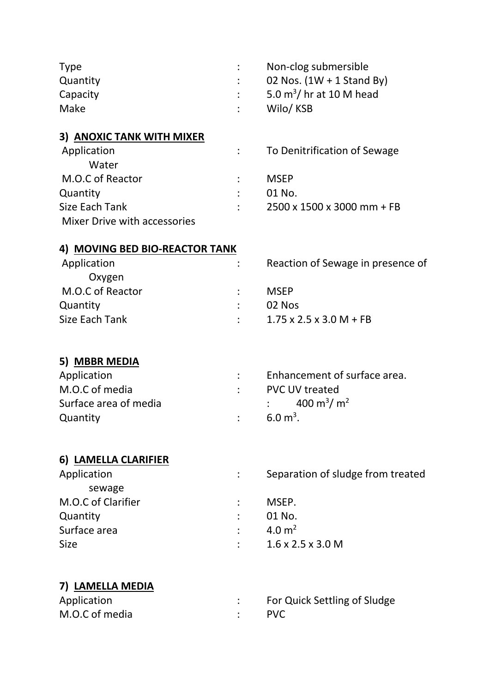| <b>Type</b><br>Quantity<br>Capacity<br>Make |   | Non-clog submersible<br>02 Nos. $(1W + 1$ Stand By)<br>5.0 $m^3$ / hr at 10 M head<br>Wilo/KSB |
|---------------------------------------------|---|------------------------------------------------------------------------------------------------|
| 3) ANOXIC TANK WITH MIXER                   |   |                                                                                                |
| Application<br>Water                        | ÷ | To Denitrification of Sewage                                                                   |
| M.O.C of Reactor                            |   | <b>MSEP</b>                                                                                    |
| Quantity                                    |   | 01 No.                                                                                         |
| <b>Size Each Tank</b>                       |   | 2500 x 1500 x 3000 mm + FB                                                                     |
| Mixer Drive with accessories                |   |                                                                                                |
| 4) MOVING BED BIO-REACTOR TANK              |   |                                                                                                |
| Application                                 |   | Reaction of Sewage in presence of                                                              |
| Oxygen                                      |   |                                                                                                |
| M.O.C of Reactor                            |   | <b>MSEP</b>                                                                                    |
| Quantity                                    |   | 02 Nos                                                                                         |
| <b>Size Each Tank</b>                       |   | $1.75 \times 2.5 \times 3.0 M + FB$                                                            |
| 5) MBBR MEDIA                               |   |                                                                                                |
| Application                                 |   | Enhancement of surface area.                                                                   |
| M.O.C of media                              |   | <b>PVC UV treated</b>                                                                          |
| Surface area of media                       |   | 400 m <sup>3</sup> / m <sup>2</sup>                                                            |
|                                             |   | $6.0 \text{ m}^3$ .                                                                            |
| Quantity                                    |   |                                                                                                |
| 6) LAMELLA CLARIFIER                        |   |                                                                                                |
| Application<br>sewage                       |   | Separation of sludge from treated                                                              |
| M.O.C of Clarifier                          |   | MSEP.                                                                                          |
| Quantity                                    |   | 01 No.                                                                                         |
| Surface area                                |   | 4.0 $m2$                                                                                       |
| <b>Size</b>                                 |   | $1.6 \times 2.5 \times 3.0$ M                                                                  |
|                                             |   |                                                                                                |
| 7) LAMELLA MEDIA                            |   |                                                                                                |
| Application                                 |   | For Quick Settling of Sludge                                                                   |
| M.O.C of media                              |   | <b>PVC</b>                                                                                     |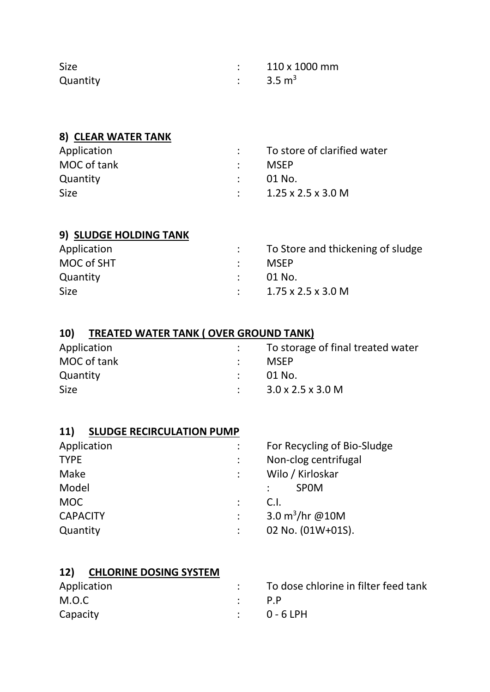| <b>Size</b> | 110 x 1000 mm     |
|-------------|-------------------|
| Quantity    | $3.5 \text{ m}^3$ |

# **8) CLEAR WATER TANK**

| Application | To store of clarified water            |
|-------------|----------------------------------------|
| MOC of tank | <b>MSEP</b>                            |
| Quantity    | – 01 No.                               |
| <b>Size</b> | $1.25 \times 2.5 \times 3.0 \text{ M}$ |

# **9) SLUDGE HOLDING TANK**

| Application | : To Store and thickening of sludge    |
|-------------|----------------------------------------|
| MOC of SHT  | <b>MSFP</b>                            |
| Quantity    | - 01 No.                               |
| <b>Size</b> | $1.75 \times 2.5 \times 3.0 \text{ M}$ |

# **10) TREATED WATER TANK ( OVER GROUND TANK)**

| Application | To storage of final treated water |
|-------------|-----------------------------------|
| MOC of tank | <b>MSFP</b>                       |
| Quantity    | - 01 No.                          |
| <b>Size</b> | $3.0 \times 2.5 \times 3.0$ M     |

# **11) SLUDGE RECIRCULATION PUMP**

| Application     | For Recycling of Bio-Sludge |
|-----------------|-----------------------------|
| <b>TYPE</b>     | Non-clog centrifugal        |
| Make            | Wilo / Kirloskar            |
| Model           | <b>SPOM</b>                 |
| <b>MOC</b>      | C.I.                        |
| <b>CAPACITY</b> | 3.0 $m^3$ /hr @10M          |
| Quantity        | 02 No. (01W+01S).           |
|                 |                             |

| 12) CHLORINE DOSING SYSTEM |                                      |
|----------------------------|--------------------------------------|
| Application                | To dose chlorine in filter feed tank |
| M.O.C                      | $\cdot$ pp                           |
| Capacity                   | $\therefore$ 0-6 LPH                 |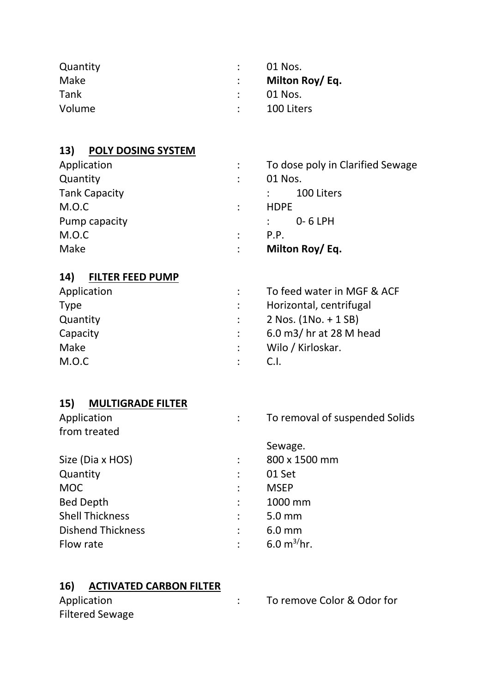| Quantity | - 01 Nos.       |
|----------|-----------------|
| Make     | Milton Roy/ Eq. |
| Tank     | 01 Nos.         |
| Volume   | 100 Liters      |

# **13) POLY DOSING SYSTEM**

| Application          |   | To dose poly in Clarified Sewage |
|----------------------|---|----------------------------------|
| Quantity             |   | 01 Nos.                          |
| <b>Tank Capacity</b> |   | 100 Liters                       |
| M.O.C                |   | <b>HDPE</b>                      |
| Pump capacity        |   | $0 - 6$ LPH                      |
| M.O.C                | ÷ | P.P.                             |
| Make                 |   | Milton Roy/ Eq.                  |

# **14) FILTER FEED PUMP**

| Application | To feed water in MGF & ACF |
|-------------|----------------------------|
| <b>Type</b> | Horizontal, centrifugal    |
| Quantity    | $2$ Nos. (1No. + 1 SB)     |
| Capacity    | 6.0 m3/ hr at 28 M head    |
| Make        | Wilo / Kirloskar.          |
| M.O.C       | C.I.                       |

# **15) MULTIGRADE FILTER**

|           | To removal of suspended Solids |
|-----------|--------------------------------|
|           |                                |
|           | Sewage.                        |
|           | 800 x 1500 mm                  |
|           | 01 Set                         |
|           | <b>MSEP</b>                    |
|           | 1000 mm                        |
|           | 5.0 mm                         |
|           | $6.0$ mm                       |
| $\bullet$ | 6.0 $m^{3}/hr$ .               |
|           |                                |

## **16) ACTIVATED CARBON FILTER**

| Application            |  |
|------------------------|--|
| <b>Filtered Sewage</b> |  |

: To remove Color & Odor for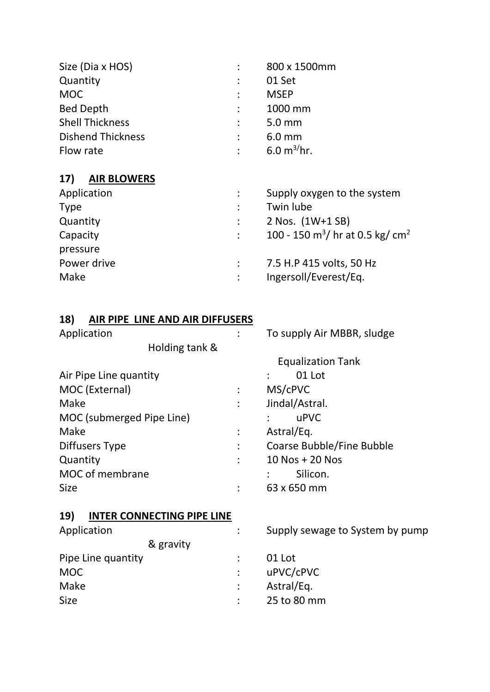| Size (Dia x HOS)         | 800 x 1500mm                   |
|--------------------------|--------------------------------|
| Quantity                 | 01 Set                         |
| <b>MOC</b>               | <b>MSEP</b>                    |
| <b>Bed Depth</b>         | 1000 mm                        |
| <b>Shell Thickness</b>   | 5.0 mm                         |
| <b>Dishend Thickness</b> | $6.0$ mm                       |
| Flow rate                | $6.0 \text{ m}^{3}/\text{hr}.$ |

# **17) AIR BLOWERS**

| Supply oxygen to the system                              |
|----------------------------------------------------------|
| Twin lube                                                |
| 2 Nos. (1W+1 SB)                                         |
| 100 - 150 m <sup>3</sup> / hr at 0.5 kg/ cm <sup>2</sup> |
|                                                          |
| 7.5 H.P 415 volts, 50 Hz                                 |
| Ingersoll/Everest/Eq.                                    |
|                                                          |

# **18) AIR PIPE LINE AND AIR DIFFUSERS**

| Application                              |   | To supply Air MBBR, sludge      |  |  |
|------------------------------------------|---|---------------------------------|--|--|
| Holding tank &                           |   |                                 |  |  |
|                                          |   | <b>Equalization Tank</b>        |  |  |
| Air Pipe Line quantity                   |   | 01 Lot                          |  |  |
| MOC (External)                           |   | MS/cPVC                         |  |  |
| Make                                     |   | Jindal/Astral.                  |  |  |
| MOC (submerged Pipe Line)                |   | uPVC                            |  |  |
| Make                                     | ÷ | Astral/Eq.                      |  |  |
| Diffusers Type                           |   | Coarse Bubble/Fine Bubble       |  |  |
| Quantity                                 |   | 10 Nos + 20 Nos                 |  |  |
| MOC of membrane                          |   | Silicon.                        |  |  |
| <b>Size</b>                              |   | 63 x 650 mm                     |  |  |
| <b>INTER CONNECTING PIPE LINE</b><br>19) |   |                                 |  |  |
| Application                              |   | Supply sewage to System by pump |  |  |
| & gravity                                |   |                                 |  |  |
| Pipe Line quantity                       |   | 01 Lot                          |  |  |
| <b>MOC</b>                               |   | uPVC/cPVC                       |  |  |
| Make                                     |   | Astral/Eq.                      |  |  |

Size  $\qquad \qquad : \qquad$  25 to 80 mm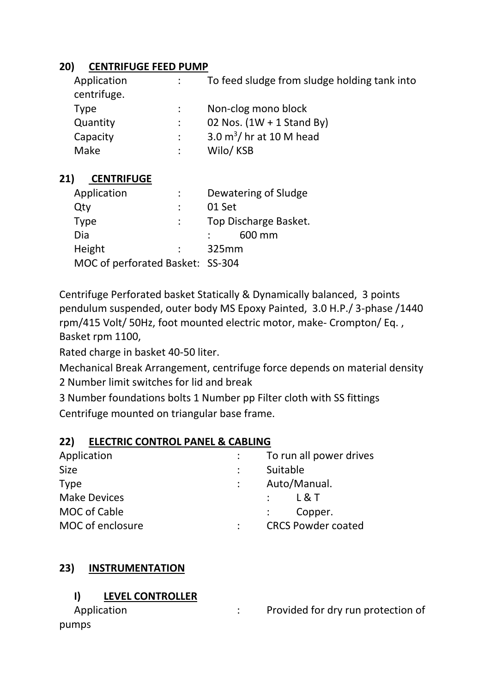## **20) CENTRIFUGE FEED PUMP**

| Application<br>centrifuge. | To feed sludge from sludge holding tank into |
|----------------------------|----------------------------------------------|
| <b>Type</b>                | Non-clog mono block                          |
| Quantity                   | 02 Nos. $(1W + 1$ Stand By)                  |
| Capacity                   | 3.0 $m^3$ / hr at 10 M head                  |
| Make                       | Wilo/KSB                                     |

## **21) CENTRIFUGE**

| Application                      |  | Dewatering of Sludge |                       |
|----------------------------------|--|----------------------|-----------------------|
| Qty                              |  | 01 Set               |                       |
| Type                             |  |                      | Top Discharge Basket. |
| Dia                              |  |                      | 600 mm                |
| Height                           |  | 325mm                |                       |
| MOC of perforated Basket: SS-304 |  |                      |                       |

Centrifuge Perforated basket Statically & Dynamically balanced, 3 points pendulum suspended, outer body MS Epoxy Painted, 3.0 H.P./ 3-phase /1440 rpm/415 Volt/ 50Hz, foot mounted electric motor, make- Crompton/ Eq. , Basket rpm 1100,

Rated charge in basket 40-50 liter.

Mechanical Break Arrangement, centrifuge force depends on material density 2 Number limit switches for lid and break

3 Number foundations bolts 1 Number pp Filter cloth with SS fittings Centrifuge mounted on triangular base frame.

#### **22) ELECTRIC CONTROL PANEL & CABLING**

| Application         | To run all power drives              |
|---------------------|--------------------------------------|
| <b>Size</b>         | Suitable                             |
| <b>Type</b>         | Auto/Manual.                         |
| <b>Make Devices</b> | $\mathsf{L} \mathsf{R}$ $\mathsf{T}$ |
| MOC of Cable        | Copper.                              |
| MOC of enclosure    | <b>CRCS Powder coated</b>            |

# **23) INSTRUMENTATION**

## **I) LEVEL CONTROLLER**

| Application | Provided for dry run protection of |
|-------------|------------------------------------|
| pumps       |                                    |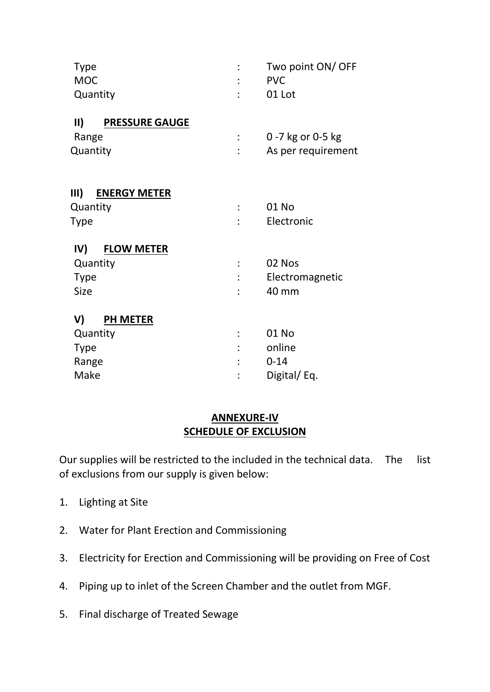| Two point ON/ OFF<br><b>PVC</b> |
|---------------------------------|
| 01 Lot                          |
|                                 |
| 0 -7 kg or 0-5 kg               |
| As per requirement              |
|                                 |
| 01 No                           |
|                                 |
| Electronic                      |
|                                 |
| 02 Nos                          |
| Electromagnetic                 |
| 40 mm                           |
|                                 |
| 01 No                           |
| online                          |
| $0 - 14$                        |
| Digital/Eq.                     |
|                                 |

### **ANNEXURE-IV SCHEDULE OF EXCLUSION**

Our supplies will be restricted to the included in the technical data. The list of exclusions from our supply is given below:

- 1. Lighting at Site
- 2. Water for Plant Erection and Commissioning
- 3. Electricity for Erection and Commissioning will be providing on Free of Cost
- 4. Piping up to inlet of the Screen Chamber and the outlet from MGF.
- 5. Final discharge of Treated Sewage